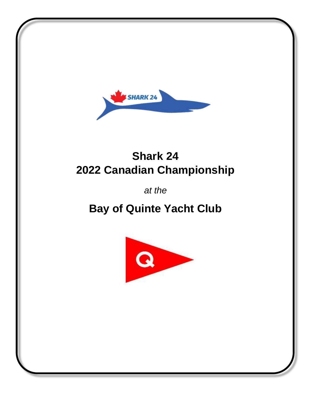

## **Shark 24 2022 Canadian Championship**

*at the*

## **Bay of Quinte Yacht Club**

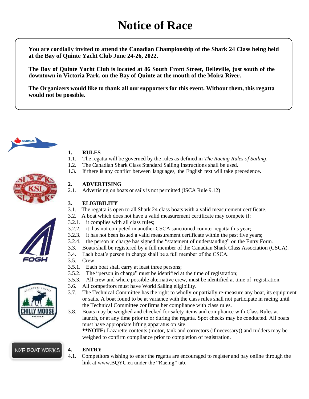**You are cordially invited to attend the Canadian Championship of the Shark 24 Class being held at the Bay of Quinte Yacht Club June 24-26, 2022.**

**The Bay of Quinte Yacht Club is located at 86 South Front Street, Belleville, just south of the downtown in Victoria Park, on the Bay of Quinte at the mouth of the Moira River.**

**The Organizers would like to thank all our supporters for this event. Without them, this regatta would not be possible.** 



#### **1. RULES**

- 1.1. The regatta will be governed by the rules as defined in *The Racing Rules of Sailing*.
- 1.2. The Canadian Shark Class Standard Sailing Instructions shall be used.
- 1.3. If there is any conflict between languages, the English text will take precedence.



2.1. Advertising on boats or sails is not permitted (ISCA Rule 9.12)

#### **3. ELIGIBILITY**

- 3.1. The regatta is open to all Shark 24 class boats with a valid measurement certificate.
- 3.2. A boat which does not have a valid measurement certificate may compete if:
- 3.2.1. it complies with all class rules;
- 3.2.2. it has not competed in another CSCA sanctioned counter regatta this year;
- 3.2.3. it has not been issued a valid measurement certificate within the past five years;
- 3.2.4. the person in charge has signed the "statement of understanding" on the Entry Form.
- 3.3. Boats shall be registered by a full member of the Canadian Shark Class Association (CSCA).
- 3.4. Each boat's person in charge shall be a full member of the CSCA.
- 3.5. Crew:
- 3.5.1. Each boat shall carry at least three persons;
- 3.5.2. The "person in charge" must be identified at the time of registration;
- 3.5.3. All crew and where possible alternative crew, must be identified at time of registration.
- 3.6. All competitors must have World Sailing eligibility.
- 3.7. The Technical Committee has the right to wholly or partially re-measure any boat, its equipment or sails. A boat found to be at variance with the class rules shall not participate in racing until the Technical Committee confirms her compliance with class rules.
- 3.8. Boats may be weighed and checked for safety items and compliance with Class Rules at launch, or at any time prior to or during the regatta. Spot checks may be conducted. All boats must have appropriate lifting apparatus on site.

**\*\*NOTE:** Lazarette contents (motor, tank and correctors (if necessary)) and rudders may be weighed to confirm compliance prior to completion of registration.

#### **4. ENTRY**

4.1. Competitors wishing to enter the regatta are encouraged to register and pay online through the link at www.BQYC.ca under the "Racing" tab.



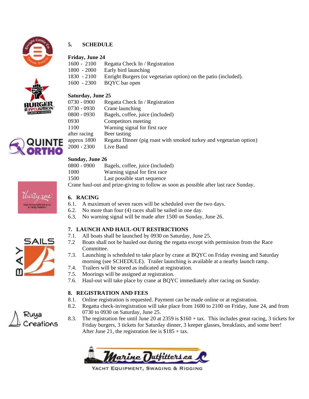

#### **5. SCHEDULE**

#### **Friday, June 24**

1600 - 2100 Regatta Check In / Registration

- 1800 2000 Early bird launching
- 1830 2100 Enright Burgers (or vegetarian option) on the patio (included).
- 1600 2300 BQYC bar open



#### **Saturday, June 25**

| 0730 - 0900   | Regatta Check In / Registration                                     |
|---------------|---------------------------------------------------------------------|
| 0730 - 0930   | Crane launching                                                     |
| 0800 - 0930   | Bagels, coffee, juice (included)                                    |
| 0930          | Competitors meeting                                                 |
| 1100          | Warning signal for first race                                       |
| after racing  | Beer tasting                                                        |
| approx $1800$ | Regatta Dinner (pig roast with smoked turkey and vegetarian option) |
| $2000 - 2300$ | Live Band                                                           |
|               |                                                                     |

#### **Sunday, June 26**

| $0800 - 0900$ | Bagels, coffee, juice (included)                  |
|---------------|---------------------------------------------------|
| 1000          | Warning signal for first race                     |
| 1500          | Last possible start sequence                      |
|               | Crops houl out and prize sixing to follow as soon |

Crane haul-out and prize-giving to follow as soon as possible after last race Sunday.

### **6. RACING**

- 6.1. A maximum of seven races will be scheduled over the two days.
- 6.2. No more than four (4) races shall be sailed in one day.
- 6.3. No warning signal will be made after 1500 on Sunday, June 26.

#### **7. LAUNCH AND HAUL-OUT RESTRICTIONS**

- 7.1. All boats shall be launched by 0930 on Saturday, June 25.
- 7.2 Boats shall not be hauled out during the regatta except with permission from the Race Committee.
- 7.3. Launching is scheduled to take place by crane at BQYC on Friday evening and Saturday morning (see SCHEDULE). Trailer launching is available at a nearby launch ramp.
- 7.4. Trailers will be stored as indicated at registration.
- 7.5. Moorings will be assigned at registration.
- 7.6. Haul-out will take place by crane at BQYC immediately after racing on Sunday.

#### **8. REGISTRATION AND FEES**

- 8.1. Online registration is requested. Payment can be made online or at registration.
- 8.2. Regatta check-in/registration will take place from 1600 to 2100 on Friday, June 24, and from 0730 to 0930 on Saturday, June 25.
- 8.3. The registration fee until June 20 at 2359 is \$160 + tax. This includes great racing, 3 tickets for Friday burgers, 3 tickets for Saturday dinner, 3 keeper glasses, breakfasts, and some beer! After June 21, the registration fee is  $$185 + tax$ .

Marine Dutfitters.ca

YACHT EQUIPMENT, SWAGING & RIGGING